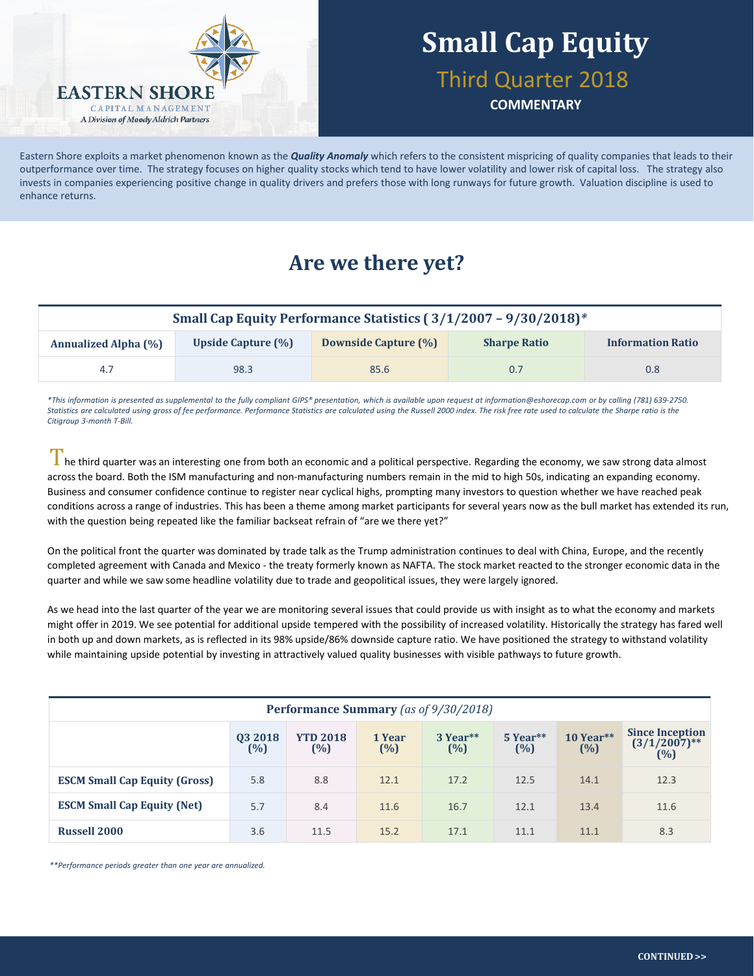

# **Small Cap Equity**

### Third Quarter 2018

**COMMENTARY**

Eastern Shore exploits a market phenomenon known as the *Quality Anomaly* which refers to the consistent mispricing of quality companies that leads to their outperformance over time. The strategy focuses on higher quality stocks which tend to have lower volatility and lower risk of capital loss. The strategy also invests in companies experiencing positive change in quality drivers and prefers those with long runways for future growth. Valuation discipline is used to enhance returns.

## **Are we there yet?**

| Small Cap Equity Performance Statistics (3/1/2007 - 9/30/2018)* |                    |                      |                     |                          |  |
|-----------------------------------------------------------------|--------------------|----------------------|---------------------|--------------------------|--|
| <b>Annualized Alpha (%)</b>                                     | Upside Capture (%) | Downside Capture (%) | <b>Sharpe Ratio</b> | <b>Information Ratio</b> |  |
| 4.7                                                             | 98.3               | 85.6                 | 0.7                 | 0.8 <sub>0</sub>         |  |

*\*This information is presented as supplemental to the fully compliant GIPS® presentation, which is available upon request at information@eshorecap.com or by calling (781) 639-2750.*  Statistics are calculated using gross of fee performance. Performance Statistics are calculated using the Russell 2000 index. The risk free rate used to calculate the Sharpe ratio is the *Citigroup 3-month T-Bill.*

 $\Gamma$  he third quarter was an interesting one from both an economic and a political perspective. Regarding the economy, we saw strong data almost across the board. Both the ISM manufacturing and non-manufacturing numbers remain in the mid to high 50s, indicating an expanding economy. Business and consumer confidence continue to register near cyclical highs, prompting many investors to question whether we have reached peak conditions across a range of industries. This has been a theme among market participants for several years now as the bull market has extended its run, with the question being repeated like the familiar backseat refrain of "are we there yet?"

On the political front the quarter was dominated by trade talk as the Trump administration continues to deal with China, Europe, and the recently completed agreement with Canada and Mexico - the treaty formerly known as NAFTA. The stock market reacted to the stronger economic data in the quarter and while we saw some headline volatility due to trade and geopolitical issues, they were largely ignored.

As we head into the last quarter of the year we are monitoring several issues that could provide us with insight as to what the economy and markets might offer in 2019. We see potential for additional upside tempered with the possibility of increased volatility. Historically the strategy has fared well in both up and down markets, as is reflected in its 98% upside/86% downside capture ratio. We have positioned the strategy to withstand volatility while maintaining upside potential by investing in attractively valued quality businesses with visible pathways to future growth.

| Performance Summary (as of 9/30/2018) |                   |                        |                   |                 |                 |                    |                                                     |
|---------------------------------------|-------------------|------------------------|-------------------|-----------------|-----------------|--------------------|-----------------------------------------------------|
|                                       | 03 2018<br>$(\%)$ | <b>YTD 2018</b><br>(%) | 1 Year<br>$(\% )$ | 3 Year**<br>(%) | 5 Year**<br>(%) | $10$ Year**<br>(%) | <b>Since Inception</b><br>$(3/1/2007)$ **<br>$(\%)$ |
| <b>ESCM Small Cap Equity (Gross)</b>  | 5.8               | 8.8                    | 12.1              | 17.2            | 12.5            | 14.1               | 12.3                                                |
| <b>ESCM Small Cap Equity (Net)</b>    | 5.7               | 8.4                    | 11.6              | 16.7            | 12.1            | 13.4               | 11.6                                                |
| <b>Russell 2000</b>                   | 3.6               | 11.5                   | 15.2              | 17.1            | 11.1            | 11.1               | 8.3                                                 |

*\*\*Performance periods greater than one year are annualized.*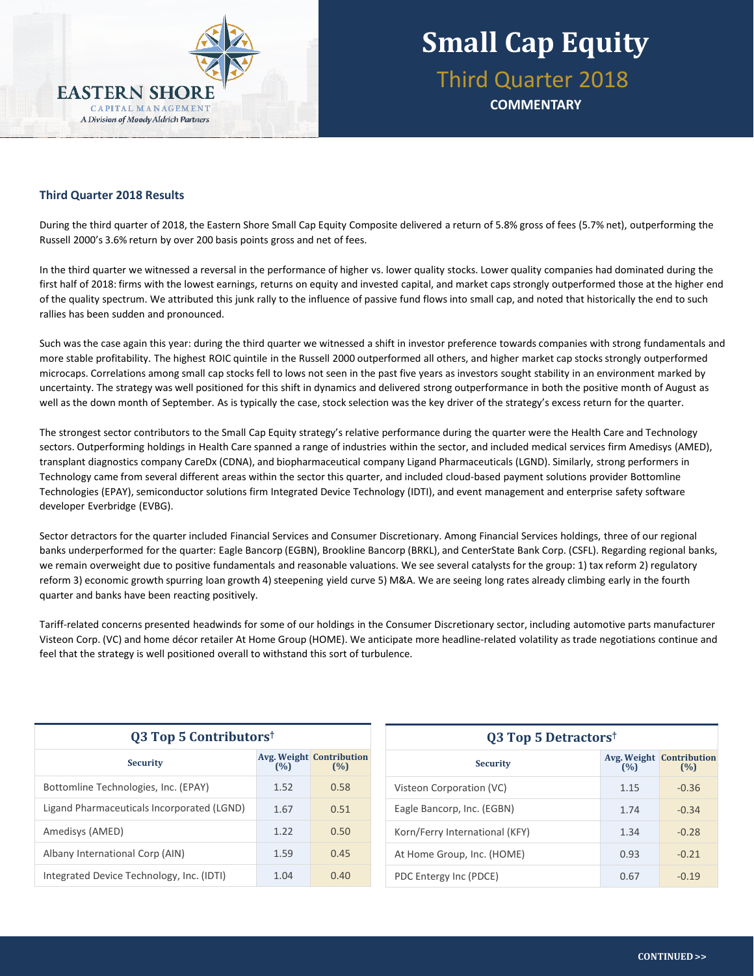

**COMMENTARY**

### **Third Quarter 2018 Results**

During the third quarter of 2018, the Eastern Shore Small Cap Equity Composite delivered a return of 5.8% gross of fees (5.7% net), outperforming the Russell 2000's 3.6% return by over 200 basis points gross and net of fees.

In the third quarter we witnessed a reversal in the performance of higher vs. lower quality stocks. Lower quality companies had dominated during the first half of 2018: firms with the lowest earnings, returns on equity and invested capital, and market caps strongly outperformed those at the higher end of the quality spectrum. We attributed this junk rally to the influence of passive fund flows into small cap, and noted that historically the end to such rallies has been sudden and pronounced.

Such was the case again this year: during the third quarter we witnessed a shift in investor preference towards companies with strong fundamentals and more stable profitability. The highest ROIC quintile in the Russell 2000 outperformed all others, and higher market cap stocks strongly outperformed microcaps. Correlations among small cap stocks fell to lows not seen in the past five years as investors sought stability in an environment marked by uncertainty. The strategy was well positioned for this shift in dynamics and delivered strong outperformance in both the positive month of August as well as the down month of September. As is typically the case, stock selection was the key driver of the strategy's excess return for the quarter.

The strongest sector contributors to the Small Cap Equity strategy's relative performance during the quarter were the Health Care and Technology sectors. Outperforming holdings in Health Care spanned a range of industries within the sector, and included medical services firm Amedisys (AMED), transplant diagnostics company CareDx (CDNA), and biopharmaceutical company Ligand Pharmaceuticals (LGND). Similarly, strong performers in Technology came from several different areas within the sector this quarter, and included cloud-based payment solutions provider Bottomline Technologies (EPAY), semiconductor solutions firm Integrated Device Technology (IDTI), and event management and enterprise safety software developer Everbridge (EVBG).

Sector detractors for the quarter included Financial Services and Consumer Discretionary. Among Financial Services holdings, three of our regional banks underperformed for the quarter: Eagle Bancorp (EGBN), Brookline Bancorp (BRKL), and CenterState Bank Corp. (CSFL). Regarding regional banks, we remain overweight due to positive fundamentals and reasonable valuations. We see several catalysts for the group: 1) tax reform 2) regulatory reform 3) economic growth spurring loan growth 4) steepening yield curve 5) M&A. We are seeing long rates already climbing early in the fourth quarter and banks have been reacting positively.

Tariff-related concerns presented headwinds for some of our holdings in the Consumer Discretionary sector, including automotive parts manufacturer Visteon Corp. (VC) and home décor retailer At Home Group (HOME). We anticipate more headline-related volatility as trade negotiations continue and feel that the strategy is well positioned overall to withstand this sort of turbulence.

| <b>Q3 Top 5 Contributors</b> <sup>†</sup>  |      |                                        |  |  |  |
|--------------------------------------------|------|----------------------------------------|--|--|--|
| <b>Security</b>                            | (%)  | <b>Avg. Weight Contribution</b><br>(%) |  |  |  |
| Bottomline Technologies, Inc. (EPAY)       | 1.52 | 0.58                                   |  |  |  |
| Ligand Pharmaceuticals Incorporated (LGND) | 1.67 | 0.51                                   |  |  |  |
| Amedisys (AMED)                            | 1.22 | 0.50                                   |  |  |  |
| Albany International Corp (AIN)            | 1.59 | 0.45                                   |  |  |  |
| Integrated Device Technology, Inc. (IDTI)  | 1.04 | 0.40                                   |  |  |  |

| Q3 Top 5 Detractors <sup>†</sup> |      |                                        |  |  |  |
|----------------------------------|------|----------------------------------------|--|--|--|
| <b>Security</b>                  | (%)  | <b>Avg. Weight Contribution</b><br>(%) |  |  |  |
| Visteon Corporation (VC)         | 1.15 | $-0.36$                                |  |  |  |
| Eagle Bancorp, Inc. (EGBN)       | 1.74 | $-0.34$                                |  |  |  |
| Korn/Ferry International (KFY)   | 1.34 | $-0.28$                                |  |  |  |
| At Home Group, Inc. (HOME)       | 0.93 | $-0.21$                                |  |  |  |
| PDC Entergy Inc (PDCE)           | 0.67 | $-0.19$                                |  |  |  |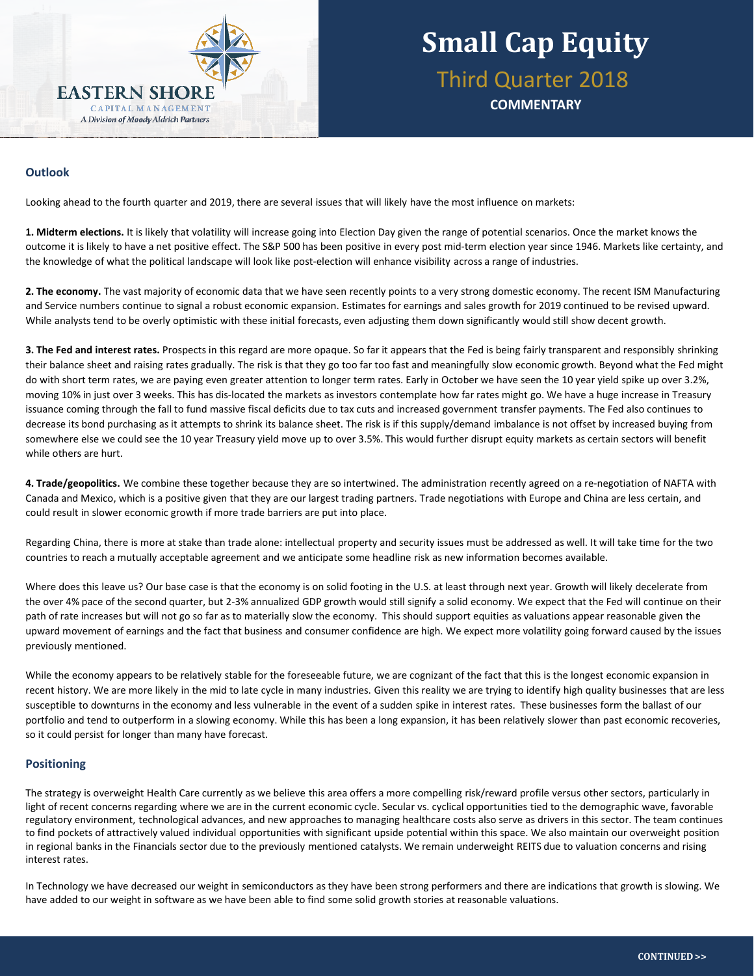

## **Small Cap Equity** Third Quarter 2018

**COMMENTARY**

#### **stocks**, adjusting the balance between the two based on opportunity set and market environment. The team's **stock selection technique** is based on the **Outlook**

Looking ahead to the fourth quarter and 2019, there are several issues that will likely have the most influence on markets:

**1. Midterm elections.** It is likely that volatility will increase going into Election Day given the range of potential scenarios. Once the market knows the outcome it is likely to have a net positive effect. The S&P 500 has been positive in every post mid-term election year since 1946. Markets like certainty, and the knowledge of what the political landscape will look like post-election will enhance visibility across a range of industries.

**2. The economy.** The vast majority of economic data that we have seen recently points to a very strong domestic economy. The recent ISM Manufacturing and Service numbers continue to signal a robust economic expansion. Estimates for earnings and sales growth for 2019 continued to be revised upward. While analysts tend to be overly optimistic with these initial forecasts, even adjusting them down significantly would still show decent growth.

**3. The Fed and interest rates.** Prospects in this regard are more opaque. So far it appears that the Fed is being fairly transparent and responsibly shrinking their balance sheet and raising rates gradually. The risk is that they go too far too fast and meaningfully slow economic growth. Beyond what the Fed might do with short term rates, we are paying even greater attention to longer term rates. Early in October we have seen the 10 year yield spike up over 3.2%, moving 10% in just over 3 weeks. This has dis-located the markets as investors contemplate how far rates might go. We have a huge increase in Treasury issuance coming through the fall to fund massive fiscal deficits due to tax cuts and increased government transfer payments. The Fed also continues to decrease its bond purchasing as it attempts to shrink its balance sheet. The risk is if this supply/demand imbalance is not offset by increased buying from somewhere else we could see the 10 year Treasury yield move up to over 3.5%. This would further disrupt equity markets as certain sectors will benefit while others are hurt.

**4. Trade/geopolitics.** We combine these together because they are so intertwined. The administration recently agreed on a re-negotiation of NAFTA with Canada and Mexico, which is a positive given that they are our largest trading partners. Trade negotiations with Europe and China are less certain, and could result in slower economic growth if more trade barriers are put into place.

Regarding China, there is more at stake than trade alone: intellectual property and security issues must be addressed as well. It will take time for the two countries to reach a mutually acceptable agreement and we anticipate some headline risk as new information becomes available.

Where does this leave us? Our base case is that the economy is on solid footing in the U.S. at least through next year. Growth will likely decelerate from the over 4% pace of the second quarter, but 2-3% annualized GDP growth would still signify a solid economy. We expect that the Fed will continue on their path of rate increases but will not go so far as to materially slow the economy. This should support equities as valuations appear reasonable given the upward movement of earnings and the fact that business and consumer confidence are high. We expect more volatility going forward caused by the issues previously mentioned.

While the economy appears to be relatively stable for the foreseeable future, we are cognizant of the fact that this is the longest economic expansion in recent history. We are more likely in the mid to late cycle in many industries. Given this reality we are trying to identify high quality businesses that are less susceptible to downturns in the economy and less vulnerable in the event of a sudden spike in interest rates. These businesses form the ballast of our portfolio and tend to outperform in a slowing economy. While this has been a long expansion, it has been relatively slower than past economic recoveries, so it could persist for longer than many have forecast.

#### **Positioning**

The strategy is overweight Health Care currently as we believe this area offers a more compelling risk/reward profile versus other sectors, particularly in light of recent concerns regarding where we are in the current economic cycle. Secular vs. cyclical opportunities tied to the demographic wave, favorable regulatory environment, technological advances, and new approaches to managing healthcare costs also serve as drivers in this sector. The team continues to find pockets of attractively valued individual opportunities with significant upside potential within this space. We also maintain our overweight position in regional banks in the Financials sector due to the previously mentioned catalysts. We remain underweight REITS due to valuation concerns and rising interest rates.

In Technology we have decreased our weight in semiconductors as they have been strong performers and there are indications that growth is slowing. We have added to our weight in software as we have been able to find some solid growth stories at reasonable valuations.